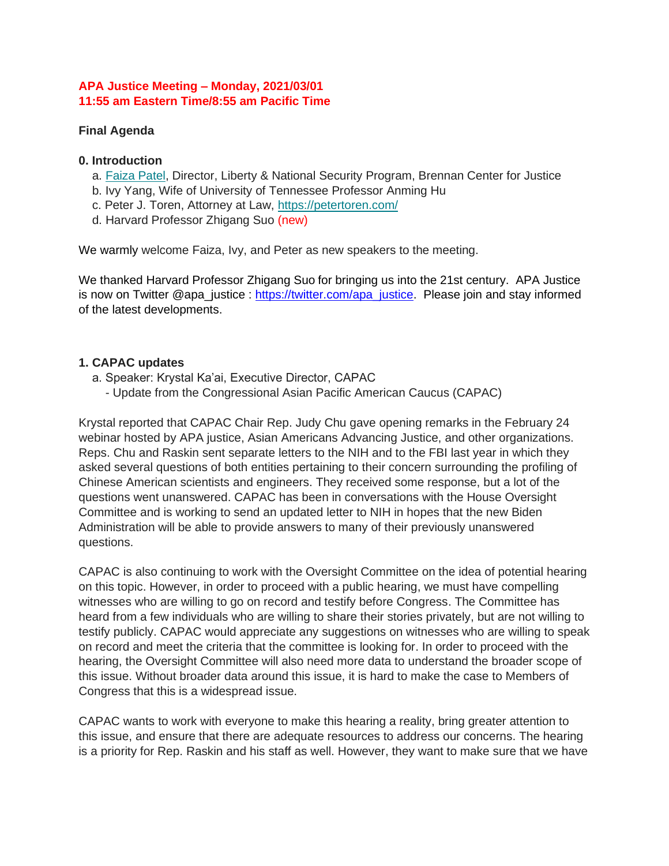#### **APA Justice Meeting – Monday, 2021/03/01 11:55 am Eastern Time/8:55 am Pacific Time**

## **Final Agenda**

#### **0. Introduction**

- a. [Faiza Patel,](http://bit.ly/2YtbiS7) Director, Liberty & National Security Program, Brennan Center for Justice
- b. Ivy Yang, Wife of University of Tennessee Professor Anming Hu
- c. Peter J. Toren, Attorney at Law, <https://petertoren.com/>
- d. Harvard Professor Zhigang Suo (new)

We warmly welcome Faiza, Ivy, and Peter as new speakers to the meeting.

We thanked Harvard Professor Zhigang Suo for bringing us into the 21st century. APA Justice is now on Twitter @apa\_justice : [https://twitter.com/apa\\_justice.](https://twitter.com/apa_justice) Please join and stay informed of the latest developments.

## **1. CAPAC updates**

- a. Speaker: Krystal Ka'ai, Executive Director, CAPAC
	- Update from the Congressional Asian Pacific American Caucus (CAPAC)

Krystal reported that CAPAC Chair Rep. Judy Chu gave opening remarks in the February 24 webinar hosted by APA justice, Asian Americans Advancing Justice, and other organizations. Reps. Chu and Raskin sent separate letters to the NIH and to the FBI last year in which they asked several questions of both entities pertaining to their concern surrounding the profiling of Chinese American scientists and engineers. They received some response, but a lot of the questions went unanswered. CAPAC has been in conversations with the House Oversight Committee and is working to send an updated letter to NIH in hopes that the new Biden Administration will be able to provide answers to many of their previously unanswered questions.

CAPAC is also continuing to work with the Oversight Committee on the idea of potential hearing on this topic. However, in order to proceed with a public hearing, we must have compelling witnesses who are willing to go on record and testify before Congress. The Committee has heard from a few individuals who are willing to share their stories privately, but are not willing to testify publicly. CAPAC would appreciate any suggestions on witnesses who are willing to speak on record and meet the criteria that the committee is looking for. In order to proceed with the hearing, the Oversight Committee will also need more data to understand the broader scope of this issue. Without broader data around this issue, it is hard to make the case to Members of Congress that this is a widespread issue.

CAPAC wants to work with everyone to make this hearing a reality, bring greater attention to this issue, and ensure that there are adequate resources to address our concerns. The hearing is a priority for Rep. Raskin and his staff as well. However, they want to make sure that we have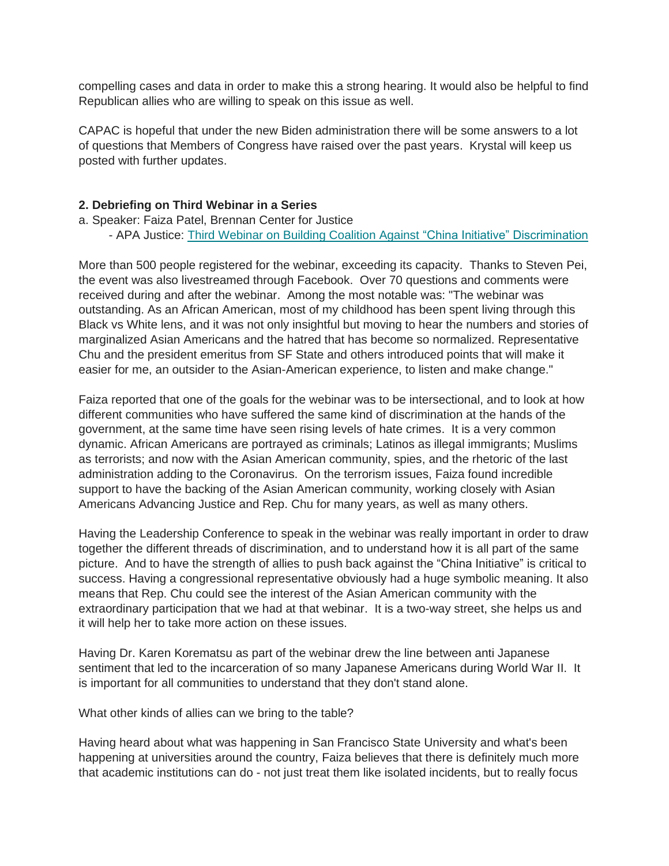compelling cases and data in order to make this a strong hearing. It would also be helpful to find Republican allies who are willing to speak on this issue as well.

CAPAC is hopeful that under the new Biden administration there will be some answers to a lot of questions that Members of Congress have raised over the past years. Krystal will keep us posted with further updates.

#### **2. Debriefing on Third Webinar in a Series**

- a. Speaker: Faiza Patel, Brennan Center for Justice
	- APA Justice: [Third Webinar on Building Coalition Against "China Initiative" Discrimination](https://bit.ly/2N5HNDY)

More than 500 people registered for the webinar, exceeding its capacity. Thanks to Steven Pei, the event was also livestreamed through Facebook. Over 70 questions and comments were received during and after the webinar. Among the most notable was: "The webinar was outstanding. As an African American, most of my childhood has been spent living through this Black vs White lens, and it was not only insightful but moving to hear the numbers and stories of marginalized Asian Americans and the hatred that has become so normalized. Representative Chu and the president emeritus from SF State and others introduced points that will make it easier for me, an outsider to the Asian-American experience, to listen and make change."

Faiza reported that one of the goals for the webinar was to be intersectional, and to look at how different communities who have suffered the same kind of discrimination at the hands of the government, at the same time have seen rising levels of hate crimes. It is a very common dynamic. African Americans are portrayed as criminals; Latinos as illegal immigrants; Muslims as terrorists; and now with the Asian American community, spies, and the rhetoric of the last administration adding to the Coronavirus. On the terrorism issues, Faiza found incredible support to have the backing of the Asian American community, working closely with Asian Americans Advancing Justice and Rep. Chu for many years, as well as many others.

Having the Leadership Conference to speak in the webinar was really important in order to draw together the different threads of discrimination, and to understand how it is all part of the same picture. And to have the strength of allies to push back against the "China Initiative" is critical to success. Having a congressional representative obviously had a huge symbolic meaning. It also means that Rep. Chu could see the interest of the Asian American community with the extraordinary participation that we had at that webinar. It is a two-way street, she helps us and it will help her to take more action on these issues.

Having Dr. Karen Korematsu as part of the webinar drew the line between anti Japanese sentiment that led to the incarceration of so many Japanese Americans during World War II. It is important for all communities to understand that they don't stand alone.

What other kinds of allies can we bring to the table?

Having heard about what was happening in San Francisco State University and what's been happening at universities around the country, Faiza believes that there is definitely much more that academic institutions can do - not just treat them like isolated incidents, but to really focus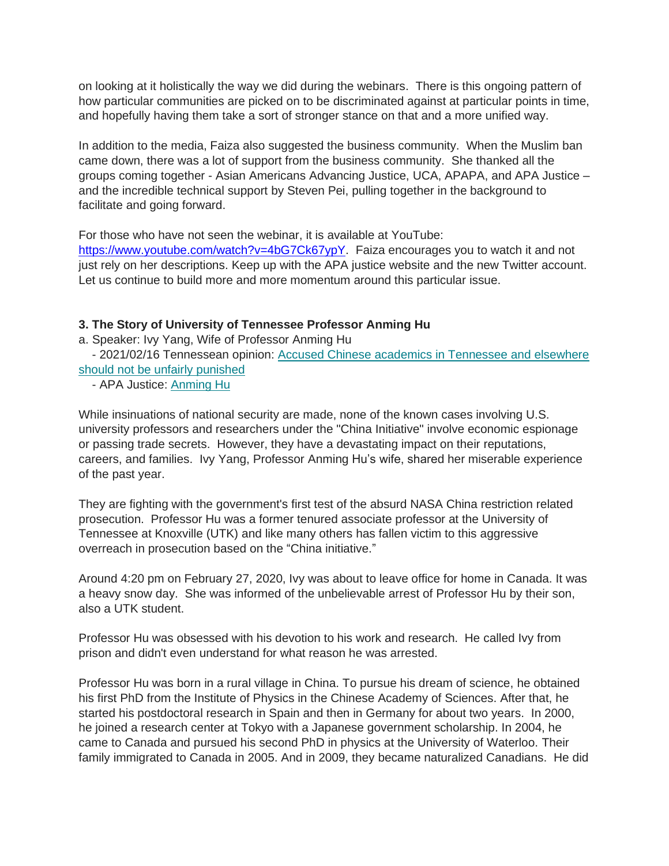on looking at it holistically the way we did during the webinars. There is this ongoing pattern of how particular communities are picked on to be discriminated against at particular points in time, and hopefully having them take a sort of stronger stance on that and a more unified way.

In addition to the media, Faiza also suggested the business community. When the Muslim ban came down, there was a lot of support from the business community. She thanked all the groups coming together - Asian Americans Advancing Justice, UCA, APAPA, and APA Justice – and the incredible technical support by Steven Pei, pulling together in the background to facilitate and going forward.

For those who have not seen the webinar, it is available at YouTube:

[https://www.youtube.com/watch?v=4bG7Ck67ypY.](https://www.youtube.com/watch?v=4bG7Ck67ypY) Faiza encourages you to watch it and not just rely on her descriptions. Keep up with the APA justice website and the new Twitter account. Let us continue to build more and more momentum around this particular issue.

# **3. The Story of University of Tennessee Professor Anming Hu**

a. Speaker: Ivy Yang, Wife of Professor Anming Hu

- 2021/02/16 Tennessean opinion: [Accused Chinese academics in Tennessee and elsewhere](http://bit.ly/3sjTTIe)  [should not be unfairly punished](http://bit.ly/3sjTTIe)

- APA Justice: [Anming Hu](http://bit.ly/APAJ_AnmingHu)

While insinuations of national security are made, none of the known cases involving U.S. university professors and researchers under the "China Initiative" involve economic espionage or passing trade secrets. However, they have a devastating impact on their reputations, careers, and families. Ivy Yang, Professor Anming Hu's wife, shared her miserable experience of the past year.

They are fighting with the government's first test of the absurd NASA China restriction related prosecution. Professor Hu was a former tenured associate professor at the University of Tennessee at Knoxville (UTK) and like many others has fallen victim to this aggressive overreach in prosecution based on the "China initiative."

Around 4:20 pm on February 27, 2020, Ivy was about to leave office for home in Canada. It was a heavy snow day. She was informed of the unbelievable arrest of Professor Hu by their son, also a UTK student.

Professor Hu was obsessed with his devotion to his work and research. He called Ivy from prison and didn't even understand for what reason he was arrested.

Professor Hu was born in a rural village in China. To pursue his dream of science, he obtained his first PhD from the Institute of Physics in the Chinese Academy of Sciences. After that, he started his postdoctoral research in Spain and then in Germany for about two years. In 2000, he joined a research center at Tokyo with a Japanese government scholarship. In 2004, he came to Canada and pursued his second PhD in physics at the University of Waterloo. Their family immigrated to Canada in 2005. And in 2009, they became naturalized Canadians. He did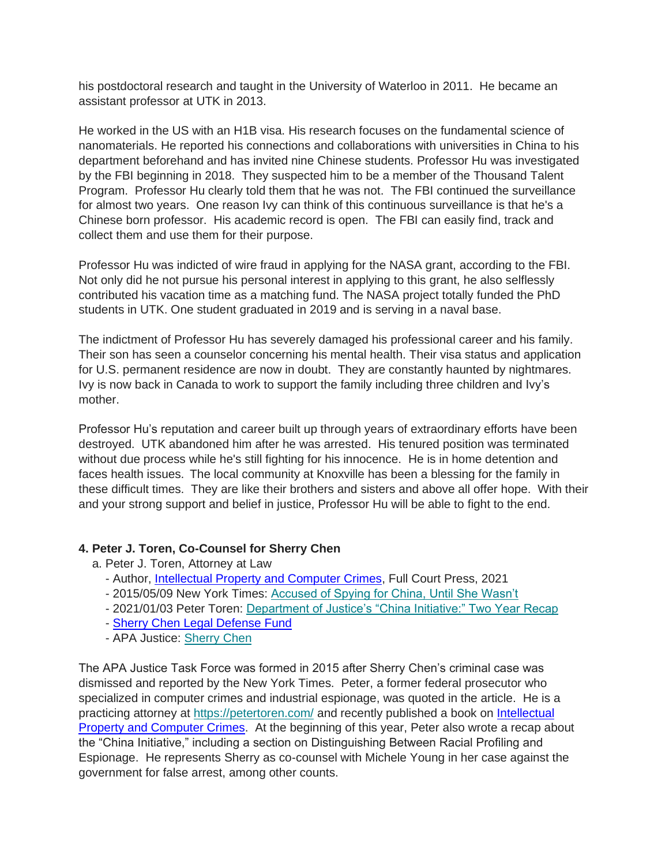his postdoctoral research and taught in the University of Waterloo in 2011. He became an assistant professor at UTK in 2013.

He worked in the US with an H1B visa. His research focuses on the fundamental science of nanomaterials. He reported his connections and collaborations with universities in China to his department beforehand and has invited nine Chinese students. Professor Hu was investigated by the FBI beginning in 2018. They suspected him to be a member of the Thousand Talent Program. Professor Hu clearly told them that he was not. The FBI continued the surveillance for almost two years. One reason Ivy can think of this continuous surveillance is that he's a Chinese born professor. His academic record is open. The FBI can easily find, track and collect them and use them for their purpose.

Professor Hu was indicted of wire fraud in applying for the NASA grant, according to the FBI. Not only did he not pursue his personal interest in applying to this grant, he also selflessly contributed his vacation time as a matching fund. The NASA project totally funded the PhD students in UTK. One student graduated in 2019 and is serving in a naval base.

The indictment of Professor Hu has severely damaged his professional career and his family. Their son has seen a counselor concerning his mental health. Their visa status and application for U.S. permanent residence are now in doubt. They are constantly haunted by nightmares. Ivy is now back in Canada to work to support the family including three children and Ivy's mother.

Professor Hu's reputation and career built up through years of extraordinary efforts have been destroyed. UTK abandoned him after he was arrested. His tenured position was terminated without due process while he's still fighting for his innocence. He is in home detention and faces health issues. The local community at Knoxville has been a blessing for the family in these difficult times. They are like their brothers and sisters and above all offer hope. With their and your strong support and belief in justice, Professor Hu will be able to fight to the end.

## **4. Peter J. Toren, Co-Counsel for Sherry Chen**

- a. Peter J. Toren, Attorney at Law
	- Author, [Intellectual Property and Computer Crimes,](http://bit.ly/3qCUdRj) Full Court Press, 2021
	- 2015/05/09 New York Times: [Accused of Spying for China, Until She Wasn't](http://nyti.ms/1J3RKSe)
	- 2021/01/03 Peter Toren: [Department of Justice's "China Initiative:" Two Year Recap](http://bit.ly/3k7I2u2)
	- [Sherry Chen Legal Defense Fund](http://bit.ly/SherryChenLDF)
	- APA Justice: [Sherry Chen](http://bit.ly/APAJ_Sherry_Chen)

The APA Justice Task Force was formed in 2015 after Sherry Chen's criminal case was dismissed and reported by the New York Times. Peter, a former federal prosecutor who specialized in computer crimes and industrial espionage, was quoted in the article. He is a practicing attorney at <https://petertoren.com/> and recently published a book on [Intellectual](http://bit.ly/3qCUdRj)  [Property and Computer Crimes.](http://bit.ly/3qCUdRj) At the beginning of this year, Peter also wrote a recap about the "China Initiative," including a section on Distinguishing Between Racial Profiling and Espionage. He represents Sherry as co-counsel with Michele Young in her case against the government for false arrest, among other counts.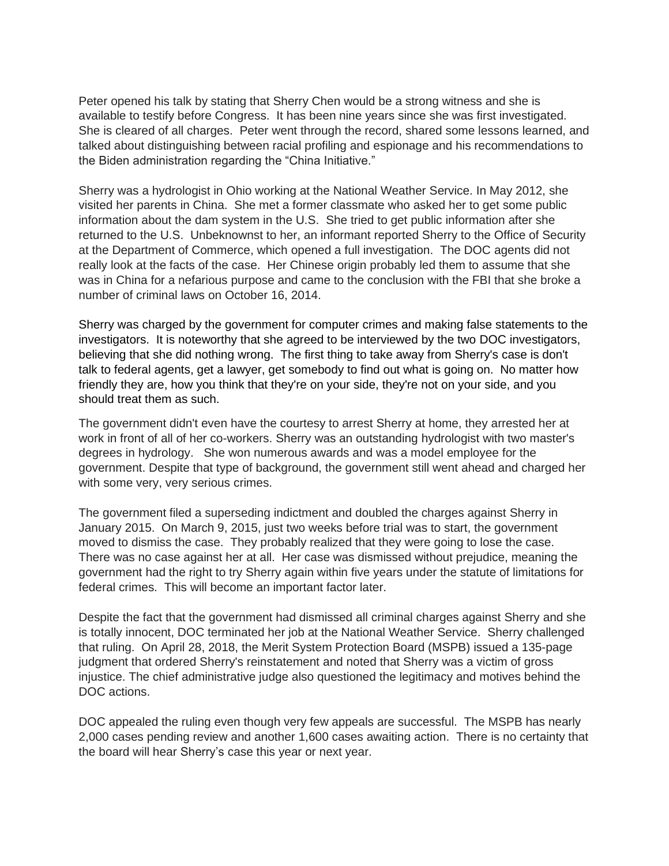Peter opened his talk by stating that Sherry Chen would be a strong witness and she is available to testify before Congress. It has been nine years since she was first investigated. She is cleared of all charges. Peter went through the record, shared some lessons learned, and talked about distinguishing between racial profiling and espionage and his recommendations to the Biden administration regarding the "China Initiative."

Sherry was a hydrologist in Ohio working at the National Weather Service. In May 2012, she visited her parents in China. She met a former classmate who asked her to get some public information about the dam system in the U.S. She tried to get public information after she returned to the U.S. Unbeknownst to her, an informant reported Sherry to the Office of Security at the Department of Commerce, which opened a full investigation. The DOC agents did not really look at the facts of the case. Her Chinese origin probably led them to assume that she was in China for a nefarious purpose and came to the conclusion with the FBI that she broke a number of criminal laws on October 16, 2014.

Sherry was charged by the government for computer crimes and making false statements to the investigators. It is noteworthy that she agreed to be interviewed by the two DOC investigators, believing that she did nothing wrong. The first thing to take away from Sherry's case is don't talk to federal agents, get a lawyer, get somebody to find out what is going on. No matter how friendly they are, how you think that they're on your side, they're not on your side, and you should treat them as such.

The government didn't even have the courtesy to arrest Sherry at home, they arrested her at work in front of all of her co-workers. Sherry was an outstanding hydrologist with two master's degrees in hydrology. She won numerous awards and was a model employee for the government. Despite that type of background, the government still went ahead and charged her with some very, very serious crimes.

The government filed a superseding indictment and doubled the charges against Sherry in January 2015. On March 9, 2015, just two weeks before trial was to start, the government moved to dismiss the case. They probably realized that they were going to lose the case. There was no case against her at all. Her case was dismissed without prejudice, meaning the government had the right to try Sherry again within five years under the statute of limitations for federal crimes. This will become an important factor later.

Despite the fact that the government had dismissed all criminal charges against Sherry and she is totally innocent, DOC terminated her job at the National Weather Service. Sherry challenged that ruling. On April 28, 2018, the Merit System Protection Board (MSPB) issued a 135-page judgment that ordered Sherry's reinstatement and noted that Sherry was a victim of gross injustice. The chief administrative judge also questioned the legitimacy and motives behind the DOC actions.

DOC appealed the ruling even though very few appeals are successful. The MSPB has nearly 2,000 cases pending review and another 1,600 cases awaiting action. There is no certainty that the board will hear Sherry's case this year or next year.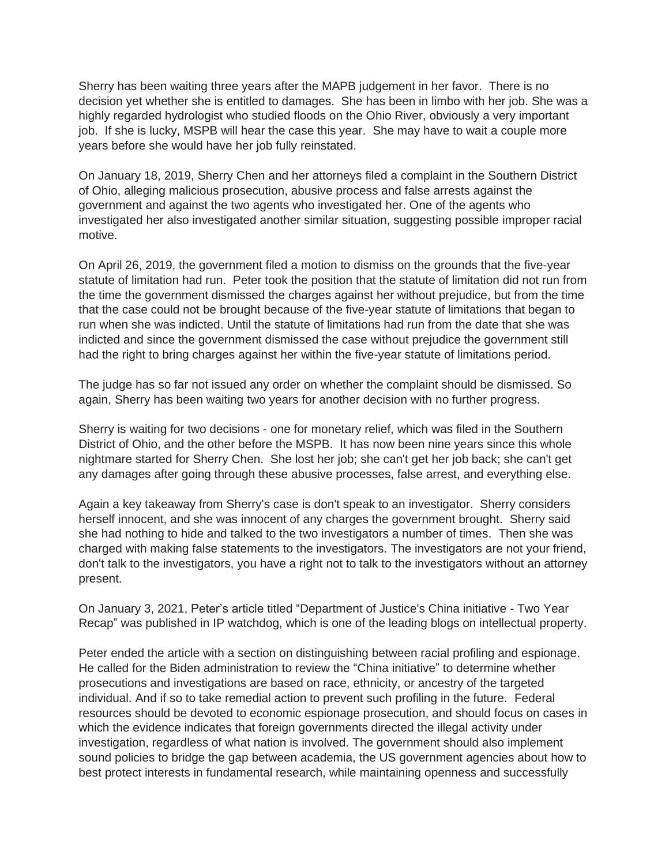Sherry has been waiting three years after the MAPB judgement in her favor. There is no decision yet whether she is entitled to damages. She has been in limbo with her job. She was a highly regarded hydrologist who studied floods on the Ohio River, obviously a very important job. If she is lucky, MSPB will hear the case this year. She may have to wait a couple more years before she would have her job fully reinstated.

On January 18, 2019, Sherry Chen and her attorneys filed a complaint in the Southern District of Ohio, alleging malicious prosecution, abusive process and false arrests against the government and against the two agents who investigated her. One of the agents who investigated her also investigated another similar situation, suggesting possible improper racial motive.

On April 26, 2019, the government filed a motion to dismiss on the grounds that the five-year statute of limitation had run. Peter took the position that the statute of limitation did not run from the time the government dismissed the charges against her without prejudice, but from the time that the case could not be brought because of the five-year statute of limitations that began to run when she was indicted. Until the statute of limitations had run from the date that she was indicted and since the government dismissed the case without prejudice the government still had the right to bring charges against her within the five-year statute of limitations period.

The judge has so far not issued any order on whether the complaint should be dismissed. So again, Sherry has been waiting two years for another decision with no further progress.

Sherry is waiting for two decisions - one for monetary relief, which was filed in the Southern District of Ohio, and the other before the MSPB. It has now been nine years since this whole nightmare started for Sherry Chen. She lost her job; she can't get her job back; she can't get any damages after going through these abusive processes, false arrest, and everything else.

Again a key takeaway from Sherry's case is don't speak to an investigator. Sherry considers herself innocent, and she was innocent of any charges the government brought. Sherry said she had nothing to hide and talked to the two investigators a number of times. Then she was charged with making false statements to the investigators. The investigators are not your friend, don't talk to the investigators, you have a right not to talk to the investigators without an attorney present.

On January 3, 2021, Peter's article titled "Department of Justice's China initiative - Two Year Recap" was published in IP watchdog, which is one of the leading blogs on intellectual property.

Peter ended the article with a section on distinguishing between racial profiling and espionage. He called for the Biden administration to review the "China initiative" to determine whether prosecutions and investigations are based on race, ethnicity, or ancestry of the targeted individual. And if so to take remedial action to prevent such profiling in the future. Federal resources should be devoted to economic espionage prosecution, and should focus on cases in which the evidence indicates that foreign governments directed the illegal activity under investigation, regardless of what nation is involved. The government should also implement sound policies to bridge the gap between academia, the US government agencies about how to best protect interests in fundamental research, while maintaining openness and successfully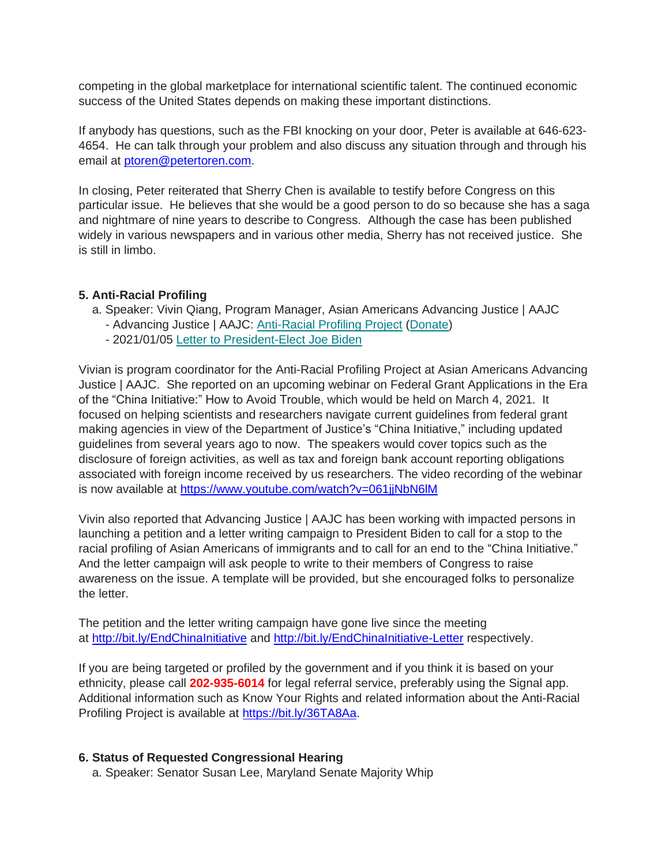competing in the global marketplace for international scientific talent. The continued economic success of the United States depends on making these important distinctions.

If anybody has questions, such as the FBI knocking on your door, Peter is available at 646-623- 4654. He can talk through your problem and also discuss any situation through and through his email at [ptoren@petertoren.com.](mailto:ptoren@petertoren.com)

In closing, Peter reiterated that Sherry Chen is available to testify before Congress on this particular issue. He believes that she would be a good person to do so because she has a saga and nightmare of nine years to describe to Congress. Although the case has been published widely in various newspapers and in various other media, Sherry has not received justice. She is still in limbo.

#### **5. Anti-Racial Profiling**

- a. Speaker: Vivin Qiang, Program Manager, Asian Americans Advancing Justice | AAJC
	- Advancing Justice | AAJC: [Anti-Racial Profiling Project](https://bit.ly/36TA8Aa) [\(Donate\)](https://bit.ly/3iIQVbe)
	- 2021/01/05 [Letter to President-Elect Joe Biden](https://bit.ly/2Mvb1eA)

Vivian is program coordinator for the Anti-Racial Profiling Project at Asian Americans Advancing Justice | AAJC. She reported on an upcoming webinar on Federal Grant Applications in the Era of the "China Initiative:" How to Avoid Trouble, which would be held on March 4, 2021. It focused on helping scientists and researchers navigate current guidelines from federal grant making agencies in view of the Department of Justice's "China Initiative," including updated guidelines from several years ago to now. The speakers would cover topics such as the disclosure of foreign activities, as well as tax and foreign bank account reporting obligations associated with foreign income received by us researchers. The video recording of the webinar is now available at<https://www.youtube.com/watch?v=061jjNbN6lM>

Vivin also reported that Advancing Justice | AAJC has been working with impacted persons in launching a petition and a letter writing campaign to President Biden to call for a stop to the racial profiling of Asian Americans of immigrants and to call for an end to the "China Initiative." And the letter campaign will ask people to write to their members of Congress to raise awareness on the issue. A template will be provided, but she encouraged folks to personalize the letter.

The petition and the letter writing campaign have gone live since the meeting at <http://bit.ly/EndChinaInitiative> and [http://bit.ly/EndChinaInitiative-Letter](http://bit.ly/EndChinaInitiative-Letter ) respectively.

If you are being targeted or profiled by the government and if you think it is based on your ethnicity, please call **202-935-6014** for legal referral service, preferably using the Signal app. Additional information such as Know Your Rights and related information about the Anti-Racial Profiling Project is available at [https://bit.ly/36TA8Aa.](https://bit.ly/36TA8Aa)

#### **6. Status of Requested Congressional Hearing**

a. Speaker: Senator Susan Lee, Maryland Senate Majority Whip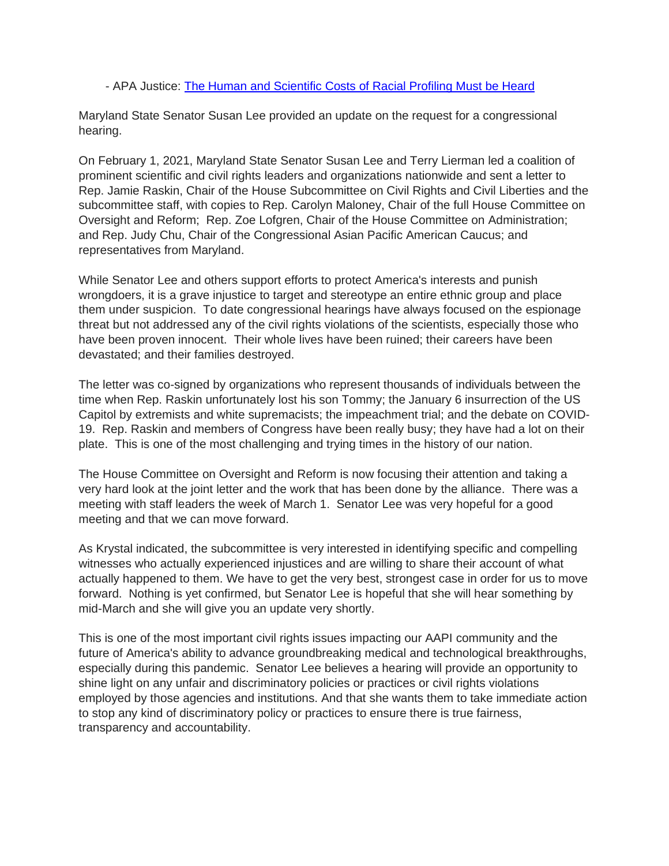#### - APA Justice: [The Human and Scientific Costs of Racial Profiling Must be Heard](https://bit.ly/3jaatHd)

Maryland State Senator Susan Lee provided an update on the request for a congressional hearing.

On February 1, 2021, Maryland State Senator Susan Lee and Terry Lierman led a coalition of prominent scientific and civil rights leaders and organizations nationwide and sent a letter to Rep. Jamie Raskin, Chair of the House Subcommittee on Civil Rights and Civil Liberties and the subcommittee staff, with copies to Rep. Carolyn Maloney, Chair of the full House Committee on Oversight and Reform; Rep. Zoe Lofgren, Chair of the House Committee on Administration; and Rep. Judy Chu, Chair of the Congressional Asian Pacific American Caucus; and representatives from Maryland.

While Senator Lee and others support efforts to protect America's interests and punish wrongdoers, it is a grave injustice to target and stereotype an entire ethnic group and place them under suspicion. To date congressional hearings have always focused on the espionage threat but not addressed any of the civil rights violations of the scientists, especially those who have been proven innocent. Their whole lives have been ruined; their careers have been devastated; and their families destroyed.

The letter was co-signed by organizations who represent thousands of individuals between the time when Rep. Raskin unfortunately lost his son Tommy; the January 6 insurrection of the US Capitol by extremists and white supremacists; the impeachment trial; and the debate on COVID-19. Rep. Raskin and members of Congress have been really busy; they have had a lot on their plate. This is one of the most challenging and trying times in the history of our nation.

The House Committee on Oversight and Reform is now focusing their attention and taking a very hard look at the joint letter and the work that has been done by the alliance. There was a meeting with staff leaders the week of March 1. Senator Lee was very hopeful for a good meeting and that we can move forward.

As Krystal indicated, the subcommittee is very interested in identifying specific and compelling witnesses who actually experienced injustices and are willing to share their account of what actually happened to them. We have to get the very best, strongest case in order for us to move forward. Nothing is yet confirmed, but Senator Lee is hopeful that she will hear something by mid-March and she will give you an update very shortly.

This is one of the most important civil rights issues impacting our AAPI community and the future of America's ability to advance groundbreaking medical and technological breakthroughs, especially during this pandemic. Senator Lee believes a hearing will provide an opportunity to shine light on any unfair and discriminatory policies or practices or civil rights violations employed by those agencies and institutions. And that she wants them to take immediate action to stop any kind of discriminatory policy or practices to ensure there is true fairness, transparency and accountability.